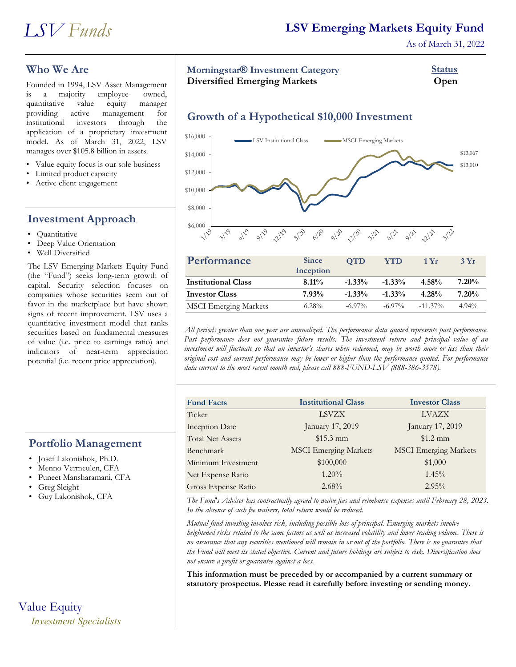

## **LSV Emerging Markets Equity Fund**

As of March 31, 2022

## **Who We Are**

Founded in 1994, LSV Asset Management<br>is a majority employee- owned, is a majority employee- owned, quantitative value equity manager providing active management for institutional investors through the application of a proprietary investment model. As of March 31, 2022, LSV manages over \$105.8 billion in assets.

- Value equity focus is our sole business
- Limited product capacity
- Active client engagement

## **Investment Approach**

- Quantitative
- Deep Value Orientation
- Well Diversified

The LSV Emerging Markets Equity Fund (the "Fund") seeks long-term growth of capital. Security selection focuses on companies whose securities seem out of favor in the marketplace but have shown signs of recent improvement. LSV uses a quantitative investment model that ranks securities based on fundamental measures of value (i.e. price to earnings ratio) and indicators of near-term appreciation potential (i.e. recent price appreciation).

#### **Portfolio Management**

- Josef Lakonishok, Ph.D.
- Menno Vermeulen, CFA
- Puneet Mansharamani, CFA
- Greg Sleight
- Guy Lakonishok, CFA

# Value Equity *Investment Specialists*

## **Morningstar<sup>®</sup> Investment Category Investment Status**

**Diversified Emerging Markets Open**

## **Growth of a Hypothetical \$10,000 Investment**



| Performance                  | <b>Since</b> | <b>OTD</b> | <b>YTD</b> | 1Yr        | 3Yr      |
|------------------------------|--------------|------------|------------|------------|----------|
|                              | Inception    |            |            |            |          |
| <b>Institutional Class</b>   | $8.11\%$     | $-1.33\%$  | $-1.33\%$  | $4.58\%$   | $7.20\%$ |
| <b>Investor Class</b>        | 7.93%        | $-1.33\%$  | $-1.33\%$  | $4.28\%$   | $7.20\%$ |
| <b>MSCI</b> Emerging Markets | $6.28\%$     | $-6.97\%$  | $-6.97\%$  | $-11.37\%$ | $4.94\%$ |

*All periods greater than one year are annualized. The performance data quoted represents past performance. Past performance does not guarantee future results. The investment return and principal value of an investment will fluctuate so that an investor's shares when redeemed, may be worth more or less than their original cost and current performance may be lower or higher than the performance quoted. For performance data current to the most recent month end, please call 888-FUND-LSV (888-386-3578).*

| <b>Fund Facts</b>       | <b>Institutional Class</b>   | <b>Investor Class</b>        |
|-------------------------|------------------------------|------------------------------|
| Ticker                  | <b>LSVZX</b>                 | <b>LVAZX</b>                 |
| <b>Inception Date</b>   | January 17, 2019             | January 17, 2019             |
| <b>Total Net Assets</b> | $$15.3$ mm                   | $$1.2$ mm                    |
| Benchmark               | <b>MSCI</b> Emerging Markets | <b>MSCI</b> Emerging Markets |
| Minimum Investment      | \$100,000                    | \$1,000                      |
| Net Expense Ratio       | $1.20\%$                     | 1.45%                        |
| Gross Expense Ratio     | $2.68\%$                     | $2.95\%$                     |
|                         |                              |                              |

*The Fund's Adviser has contractually agreed to waive fees and reimburse expenses until February 28, 2023. In the absence of such fee waivers, total return would be reduced.*

*Mutual fund investing involves risk, including possible loss of principal. Emerging markets involve heightened risks related to the same factors as well as increased volatility and lower trading volume. There is no assurance that any securities mentioned will remain in or out of the portfolio. There is no guarantee that the Fund will meet its stated objective. Current and future holdings are subject to risk. Diversification does not ensure a profit or guarantee against a loss.*

**This information must be preceded by or accompanied by a current summary or statutory prospectus. Please read it carefully before investing or sending money.**